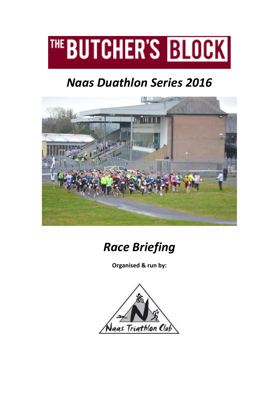

# *Naas Duathlon Series 2016*





**Organised & run by:**

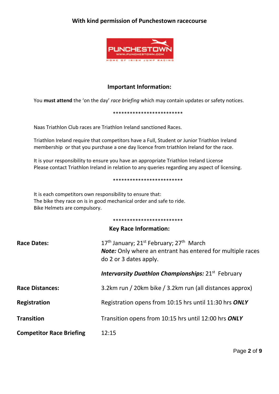## **With kind permission of Punchestown racecourse**



## **Important Information:**

You **must attend** the 'on the day' *race briefing* which may contain updates or safety notices.

#### \*\*\*\*\*\*\*\*\*\*\*\*\*\*\*\*\*\*\*\*\*\*\*\*\*

Naas Triathlon Club races are Triathlon Ireland sanctioned Races.

Triathlon Ireland require that competitors have a Full, Student or Junior Triathlon Ireland membership or that you purchase a one day licence from triathlon Ireland for the race.

It is your responsibility to ensure you have an appropriate Triathlon Ireland License Please contact Triathlon Ireland in relation to any queries regarding any aspect of licensing.

#### \*\*\*\*\*\*\*\*\*\*\*\*\*\*\*\*\*\*\*\*\*\*\*\*\*

It is each competitors own responsibility to ensure that: The bike they race on is in good mechanical order and safe to ride. Bike Helmets are compulsory.

#### \*\*\*\*\*\*\*\*\*\*\*\*\*\*\*\*\*\*\*\*\*\*\*\*\*

# **Key Race Information:**

| <b>Race Dates:</b>              | 17 <sup>th</sup> January; 21 <sup>st</sup> February; 27 <sup>th</sup> March<br><b>Note:</b> Only where an entrant has entered for multiple races<br>do 2 or 3 dates apply. |
|---------------------------------|----------------------------------------------------------------------------------------------------------------------------------------------------------------------------|
|                                 | <b>Intervarsity Duathlon Championships: 21st February</b>                                                                                                                  |
| <b>Race Distances:</b>          | 3.2km run / 20km bike / 3.2km run (all distances approx)                                                                                                                   |
| Registration                    | Registration opens from 10:15 hrs until 11:30 hrs ONLY                                                                                                                     |
| <b>Transition</b>               | Transition opens from 10:15 hrs until 12:00 hrs ONLY                                                                                                                       |
| <b>Competitor Race Briefing</b> | 12:15                                                                                                                                                                      |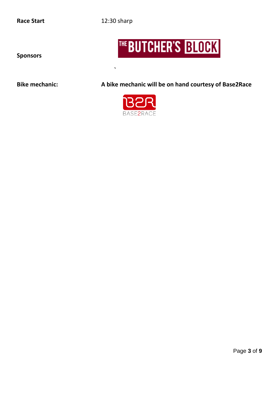**Race Start** 12:30 sharp

**`**

# THE BUTCHER'S BLOCK

**Sponsors**

**Bike mechanic: A bike mechanic will be on hand courtesy of Base2Race**

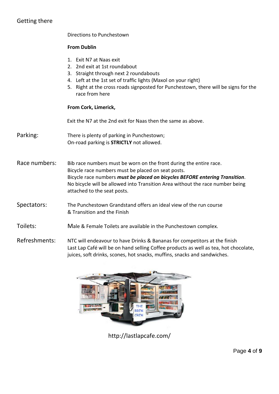# Getting there

Directions to Punchestown

#### **From Dublin**

- 1. Exit N7 at Naas exit
- 2. 2nd exit at 1st roundabout
- 3. Straight through next 2 roundabouts
- 4. Left at the 1st set of traffic lights (Maxol on your right)
- 5. Right at the cross roads signposted for Punchestown, there will be signs for the race from here

#### **From Cork, Limerick,**

Exit the N7 at the 2nd exit for Naas then the same as above.

Parking: There is plenty of parking in Punchestown; On-road parking is **STRICTLY** not allowed.

Race numbers: Bib race numbers must be worn on the front during the entire race. Bicycle race numbers must be placed on seat posts. Bicycle race numbers *must be placed on bicycles BEFORE entering Transition*. No bicycle will be allowed into Transition Area without the race number being attached to the seat posts.

Spectators: The Punchestown Grandstand offers an ideal view of the run course & Transition and the Finish

Toilets: Male & Female Toilets are available in the Punchestown complex.

Refreshments: NTC will endeavour to have Drinks & Bananas for competitors at the finish Last Lap Café will be on hand selling Coffee products as well as tea, hot chocolate, juices, soft drinks, scones, hot snacks, muffins, snacks and sandwiches.



http://lastlapcafe.com/

Page **4** of **9**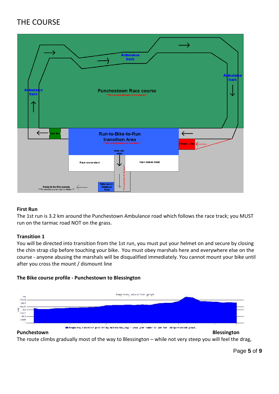# THE COURSE



#### **First Run**

The 1st run is 3.2 km around the Punchestown Ambulance road which follows the race track; you MUST run on the tarmac road NOT on the grass.

#### **Transition 1**

You will be directed into transition from the 1st run, you must put your helmet on and secure by closing the chin strap clip before touching your bike. You must obey marshals here and everywhere else on the course - anyone abusing the marshals will be disqualified immediately. You cannot mount your bike until after you cross the mount / dismount line

#### **The Bike course profile - Punchestown to Blessington**



#### **Punchestown Blessington**

The route climbs gradually most of the way to Blessington – while not very steep you will feel the drag,

Page **5** of **9**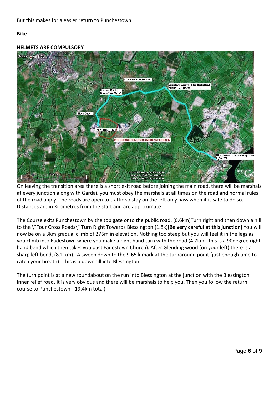#### **Bike**



**HELMETS ARE COMPULSORY**

On leaving the transition area there is a short exit road before joining the main road, there will be marshals at every junction along with Gardai, you must obey the marshals at all times on the road and normal rules of the road apply. The roads are open to traffic so stay on the left only pass when it is safe to do so. Distances are in Kilometres from the start and are approximate

The Course exits Punchestown by the top gate onto the public road. (0.6km)Turn right and then down a hill to the \"Four Cross Roads\" Turn Right Towards Blessington.(1.8k)**(Be very careful at this junction)** You will now be on a 3km gradual climb of 276m in elevation. Nothing too steep but you will feel it in the legs as you climb into Eadestown where you make a right hand turn with the road (4.7km - this is a 90degree right hand bend which then takes you past Eadestown Church). After Glending wood (on your left) there is a sharp left bend, (8.1 km). A sweep down to the 9.65 k mark at the turnaround point (just enough time to catch your breath) - this is a downhill into Blessington.

The turn point is at a new roundabout on the run into Blessington at the junction with the Blessington inner relief road. It is very obvious and there will be marshals to help you. Then you follow the return course to Punchestown - 19.4km total)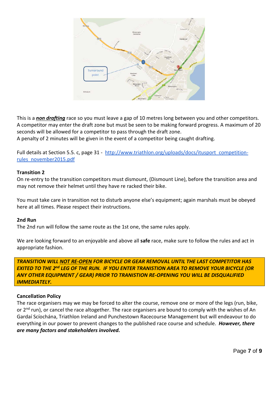

This is a *non drafting* race so you must leave a gap of 10 metres long between you and other competitors. A competitor may enter the draft zone but must be seen to be making forward progress. A maximum of 20 seconds will be allowed for a competitor to pass through the draft zone.

A penalty of 2 minutes will be given in the event of a competitor being caught drafting.

Full details at Section 5.5. c, page 31 - [http://www.triathlon.org/uploads/docs/itusport\\_competition](http://www.triathlon.org/uploads/docs/itusport_competition-rules_november2015.pdf)[rules\\_november2015.pdf](http://www.triathlon.org/uploads/docs/itusport_competition-rules_november2015.pdf)

#### **Transition 2**

On re-entry to the transition competitors must dismount, (Dismount Line), before the transition area and may not remove their helmet until they have re racked their bike.

You must take care in transition not to disturb anyone else's equipment; again marshals must be obeyed here at all times. Please respect their instructions.

#### **2nd Run**

The 2nd run will follow the same route as the 1st one, the same rules apply.

We are looking forward to an enjoyable and above all **safe** race, make sure to follow the rules and act in appropriate fashion.

*TRANSITION WILL NOT RE-OPEN FOR BICYCLE OR GEAR REMOVAL UNTIL THE LAST COMPETITOR HAS EXITED TO THE 2nd LEG OF THE RUN. IF YOU ENTER TRANISTION AREA TO REMOVE YOUR BICYCLE (OR ANY OTHER EQUIPMENT / GEAR) PRIOR TO TRANISTION RE-OPENING YOU WILL BE DISQUALIFIED IMMEDIATELY.*

#### **Cancellation Policy**

The race organisers may we may be forced to alter the course, remove one or more of the legs (run, bike, or 2<sup>nd</sup> run), or cancel the race altogether. The race organisers are bound to comply with the wishes of An Gardaí Scíochána, Triathlon Ireland and Punchestown Racecourse Management but will endeavour to do everything in our power to prevent changes to the published race course and schedule. *However, there are many factors and stakeholders involved.*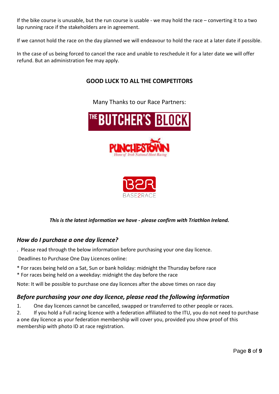If the bike course is unusable, but the run course is usable - we may hold the race – converting it to a two lap running race if the stakeholders are in agreement.

If we cannot hold the race on the day planned we will endeavour to hold the race at a later date if possible.

In the case of us being forced to cancel the race and unable to reschedule it for a later date we will offer refund. But an administration fee may apply.

# **GOOD LUCK TO ALL THE COMPETITORS**

Many Thanks to our Race Partners:





#### *This is the latest information we have - please confirm with Triathlon Ireland.*

# *How do I purchase a one day licence?*

. Please read through the below information before purchasing your one day licence.

Deadlines to Purchase One Day Licences online:

- \* For races being held on a Sat, Sun or bank holiday: midnight the Thursday before race
- \* For races being held on a weekday: midnight the day before the race

Note: It will be possible to purchase one day licences after the above times on race day

# *Before purchasing your one day licence, please read the following information*

1. One day licences cannot be cancelled, swapped or transferred to other people or races.

2. If you hold a Full racing licence with a federation affiliated to the ITU, you do not need to purchase a one day licence as your federation membership will cover you, provided you show proof of this membership with photo ID at race registration.